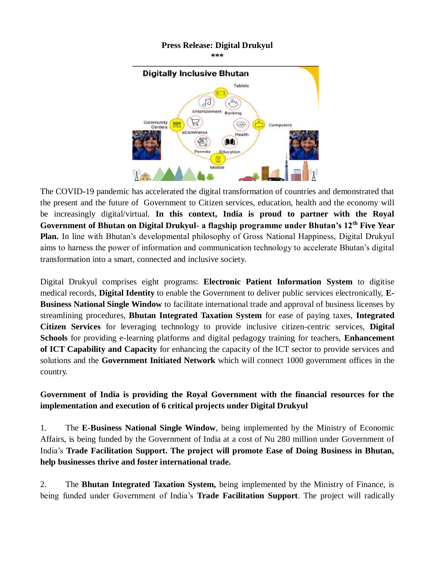## **Digitally Inclusive Bhutan** Tablets  $\sqrt{d}$  $\overline{\mathcal{C}_{13}}$ Entertainment Banking B Community ■ 4 Computers eCommerce Health Ø. m Permits Education 图 Mobile

The COVID-19 pandemic has accelerated the digital transformation of countries and demonstrated that the present and the future of Government to Citizen services, education, health and the economy will be increasingly digital/virtual. **In this context, India is proud to partner with the Royal Government of Bhutan on Digital Drukyul- a flagship programme under Bhutan's 12th Five Year Plan.** In line with Bhutan's developmental philosophy of Gross National Happiness, Digital Drukyul aims to harness the power of information and communication technology to accelerate Bhutan's digital transformation into a smart, connected and inclusive society.

Digital Drukyul comprises eight programs: **Electronic Patient Information System** to digitise medical records, **Digital Identity** to enable the Government to deliver public services electronically, **E-Business National Single Window** to facilitate international trade and approval of business licenses by streamlining procedures, **Bhutan Integrated Taxation System** for ease of paying taxes, **Integrated Citizen Services** for leveraging technology to provide inclusive citizen-centric services, **Digital Schools** for providing e-learning platforms and digital pedagogy training for teachers, **Enhancement of ICT Capability and Capacity** for enhancing the capacity of the ICT sector to provide services and solutions and the **Government Initiated Network** which will connect 1000 government offices in the country.

## **Government of India is providing the Royal Government with the financial resources for the implementation and execution of 6 critical projects under Digital Drukyul**

1. The **E-Business National Single Window**, being implemented by the Ministry of Economic Affairs, is being funded by the Government of India at a cost of Nu 280 million under Government of India's **Trade Facilitation Support. The project will promote Ease of Doing Business in Bhutan, help businesses thrive and foster international trade.** 

2. The **Bhutan Integrated Taxation System,** being implemented by the Ministry of Finance, is being funded under Government of India's **Trade Facilitation Support**. The project will radically

## **Press Release: Digital Drukyul \*\*\***